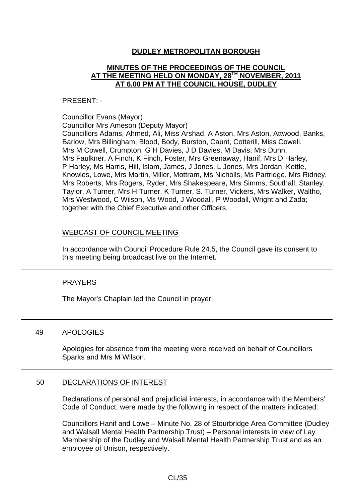# **DUDLEY METROPOLITAN BOROUGH**

# **MINUTES OF THE PROCEEDINGS OF THE COUNCIL AT THE MEETING HELD ON MONDAY, 28TH NOVEMBER, 2011 AT 6.00 PM AT THE COUNCIL HOUSE, DUDLEY**

### PRESENT: -

#### Councillor Evans (Mayor)

Councillor Mrs Ameson (Deputy Mayor)

Councillors Adams, Ahmed, Ali, Miss Arshad, A Aston, Mrs Aston, Attwood, Banks, Barlow, Mrs Billingham, Blood, Body, Burston, Caunt, Cotterill, Miss Cowell, Mrs M Cowell, Crumpton, G H Davies, J D Davies, M Davis, Mrs Dunn, Mrs Faulkner, A Finch, K Finch, Foster, Mrs Greenaway, Hanif, Mrs D Harley, P Harley, Ms Harris, Hill, Islam, James, J Jones, L Jones, Mrs Jordan, Kettle, Knowles, Lowe, Mrs Martin, Miller, Mottram, Ms Nicholls, Ms Partridge, Mrs Ridney, Mrs Roberts, Mrs Rogers, Ryder, Mrs Shakespeare, Mrs Simms, Southall, Stanley, Taylor, A Turner, Mrs H Turner, K Turner, S. Turner, Vickers, Mrs Walker, Waltho, Mrs Westwood, C Wilson, Ms Wood, J Woodall, P Woodall, Wright and Zada; together with the Chief Executive and other Officers.

## WEBCAST OF COUNCIL MEETING

In accordance with Council Procedure Rule 24.5, the Council gave its consent to this meeting being broadcast live on the Internet.

# PRAYERS

The Mayor's Chaplain led the Council in prayer.

## 49 APOLOGIES

Apologies for absence from the meeting were received on behalf of Councillors Sparks and Mrs M Wilson.

## 50 DECLARATIONS OF INTEREST

Declarations of personal and prejudicial interests, in accordance with the Members' Code of Conduct, were made by the following in respect of the matters indicated:

Councillors Hanif and Lowe – Minute No. 28 of Stourbridge Area Committee (Dudley and Walsall Mental Health Partnership Trust) – Personal interests in view of Lay Membership of the Dudley and Walsall Mental Health Partnership Trust and as an employee of Unison, respectively.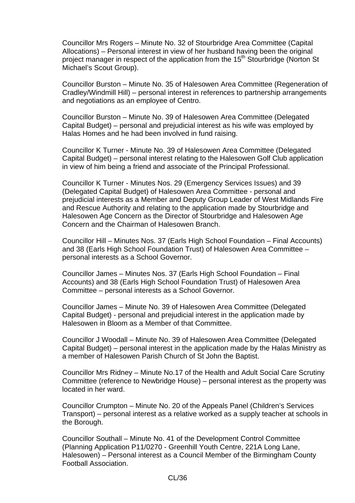Councillor Mrs Rogers – Minute No. 32 of Stourbridge Area Committee (Capital Allocations) – Personal interest in view of her husband having been the original project manager in respect of the application from the 15<sup>th</sup> Stourbridge (Norton St Michael's Scout Group).

Councillor Burston – Minute No. 35 of Halesowen Area Committee (Regeneration of Cradley/Windmill Hill) – personal interest in references to partnership arrangements and negotiations as an employee of Centro.

Councillor Burston – Minute No. 39 of Halesowen Area Committee (Delegated Capital Budget) – personal and prejudicial interest as his wife was employed by Halas Homes and he had been involved in fund raising.

Councillor K Turner - Minute No. 39 of Halesowen Area Committee (Delegated Capital Budget) – personal interest relating to the Halesowen Golf Club application in view of him being a friend and associate of the Principal Professional.

Councillor K Turner - Minutes Nos. 29 (Emergency Services Issues) and 39 (Delegated Capital Budget) of Halesowen Area Committee - personal and prejudicial interests as a Member and Deputy Group Leader of West Midlands Fire and Rescue Authority and relating to the application made by Stourbridge and Halesowen Age Concern as the Director of Stourbridge and Halesowen Age Concern and the Chairman of Halesowen Branch.

Councillor Hill – Minutes Nos. 37 (Earls High School Foundation – Final Accounts) and 38 (Earls High School Foundation Trust) of Halesowen Area Committee – personal interests as a School Governor.

Councillor James – Minutes Nos. 37 (Earls High School Foundation – Final Accounts) and 38 (Earls High School Foundation Trust) of Halesowen Area Committee – personal interests as a School Governor.

Councillor James – Minute No. 39 of Halesowen Area Committee (Delegated Capital Budget) - personal and prejudicial interest in the application made by Halesowen in Bloom as a Member of that Committee.

Councillor J Woodall – Minute No. 39 of Halesowen Area Committee (Delegated Capital Budget) – personal interest in the application made by the Halas Ministry as a member of Halesowen Parish Church of St John the Baptist.

Councillor Mrs Ridney – Minute No.17 of the Health and Adult Social Care Scrutiny Committee (reference to Newbridge House) – personal interest as the property was located in her ward.

Councillor Crumpton – Minute No. 20 of the Appeals Panel (Children's Services Transport) – personal interest as a relative worked as a supply teacher at schools in the Borough.

Councillor Southall – Minute No. 41 of the Development Control Committee (Planning Application P11/0270 - Greenhill Youth Centre, 221A Long Lane, Halesowen) – Personal interest as a Council Member of the Birmingham County Football Association.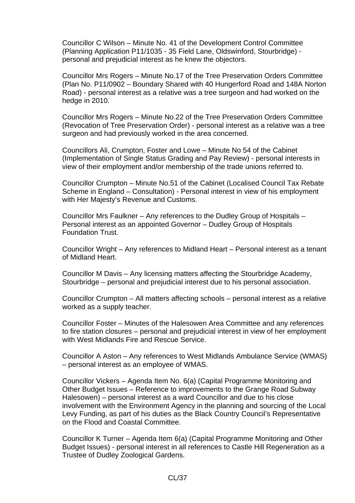Councillor C Wilson – Minute No. 41 of the Development Control Committee (Planning Application P11/1035 - 35 Field Lane, Oldswinford, Stourbridge) personal and prejudicial interest as he knew the objectors.

Councillor Mrs Rogers – Minute No.17 of the Tree Preservation Orders Committee (Plan No. P11/0902 – Boundary Shared with 40 Hungerford Road and 148A Norton Road) - personal interest as a relative was a tree surgeon and had worked on the hedge in 2010.

Councillor Mrs Rogers – Minute No.22 of the Tree Preservation Orders Committee (Revocation of Tree Preservation Order) - personal interest as a relative was a tree surgeon and had previously worked in the area concerned.

Councillors Ali, Crumpton, Foster and Lowe – Minute No 54 of the Cabinet (Implementation of Single Status Grading and Pay Review) - personal interests in view of their employment and/or membership of the trade unions referred to.

Councillor Crumpton – Minute No.51 of the Cabinet (Localised Council Tax Rebate Scheme in England – Consultation) - Personal interest in view of his employment with Her Majesty's Revenue and Customs.

Councillor Mrs Faulkner – Any references to the Dudley Group of Hospitals – Personal interest as an appointed Governor – Dudley Group of Hospitals Foundation Trust.

Councillor Wright – Any references to Midland Heart – Personal interest as a tenant of Midland Heart.

Councillor M Davis – Any licensing matters affecting the Stourbridge Academy, Stourbridge – personal and prejudicial interest due to his personal association.

Councillor Crumpton – All matters affecting schools – personal interest as a relative worked as a supply teacher.

Councillor Foster – Minutes of the Halesowen Area Committee and any references to fire station closures – personal and prejudicial interest in view of her employment with West Midlands Fire and Rescue Service.

Councillor A Aston – Any references to West Midlands Ambulance Service (WMAS) – personal interest as an employee of WMAS.

Councillor Vickers – Agenda Item No. 6(a) (Capital Programme Monitoring and Other Budget Issues – Reference to improvements to the Grange Road Subway Halesowen) – personal interest as a ward Councillor and due to his close involvement with the Environment Agency in the planning and sourcing of the Local Levy Funding, as part of his duties as the Black Country Council's Representative on the Flood and Coastal Committee.

Councillor K Turner – Agenda Item 6(a) (Capital Programme Monitoring and Other Budget Issues) - personal interest in all references to Castle Hill Regeneration as a Trustee of Dudley Zoological Gardens.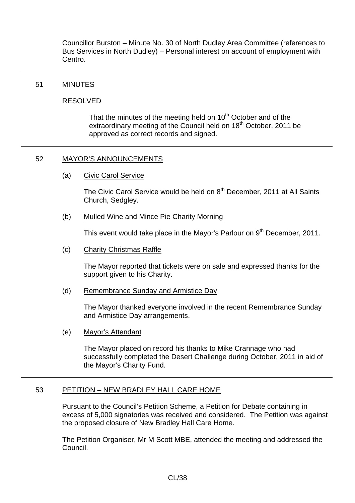Councillor Burston – Minute No. 30 of North Dudley Area Committee (references to Bus Services in North Dudley) – Personal interest on account of employment with Centro.

### 51 MINUTES

#### RESOLVED

That the minutes of the meeting held on  $10<sup>th</sup>$  October and of the extraordinary meeting of the Council held on 18<sup>th</sup> October, 2011 be approved as correct records and signed.

### 52 MAYOR'S ANNOUNCEMENTS

(a) Civic Carol Service

The Civic Carol Service would be held on 8<sup>th</sup> December, 2011 at All Saints Church, Sedgley.

(b) Mulled Wine and Mince Pie Charity Morning

This event would take place in the Mayor's Parlour on 9<sup>th</sup> December, 2011.

(c) Charity Christmas Raffle

The Mayor reported that tickets were on sale and expressed thanks for the support given to his Charity.

(d) Remembrance Sunday and Armistice Day

The Mayor thanked everyone involved in the recent Remembrance Sunday and Armistice Day arrangements.

(e) Mayor's Attendant

The Mayor placed on record his thanks to Mike Crannage who had successfully completed the Desert Challenge during October, 2011 in aid of the Mayor's Charity Fund.

## 53 PETITION – NEW BRADLEY HALL CARE HOME

Pursuant to the Council's Petition Scheme, a Petition for Debate containing in excess of 5,000 signatories was received and considered. The Petition was against the proposed closure of New Bradley Hall Care Home.

The Petition Organiser, Mr M Scott MBE, attended the meeting and addressed the Council.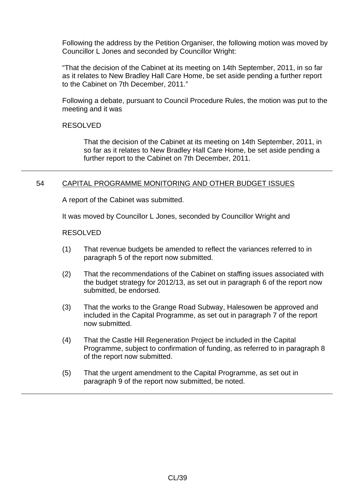Following the address by the Petition Organiser, the following motion was moved by Councillor L Jones and seconded by Councillor Wright:

"That the decision of the Cabinet at its meeting on 14th September, 2011, in so far as it relates to New Bradley Hall Care Home, be set aside pending a further report to the Cabinet on 7th December, 2011."

Following a debate, pursuant to Council Procedure Rules, the motion was put to the meeting and it was

RESOLVED

That the decision of the Cabinet at its meeting on 14th September, 2011, in so far as it relates to New Bradley Hall Care Home, be set aside pending a further report to the Cabinet on 7th December, 2011.

# 54 CAPITAL PROGRAMME MONITORING AND OTHER BUDGET ISSUES

A report of the Cabinet was submitted.

It was moved by Councillor L Jones, seconded by Councillor Wright and

#### RESOLVED

- (1) That revenue budgets be amended to reflect the variances referred to in paragraph 5 of the report now submitted.
- (2) That the recommendations of the Cabinet on staffing issues associated with the budget strategy for 2012/13, as set out in paragraph 6 of the report now submitted, be endorsed.
- (3) That the works to the Grange Road Subway, Halesowen be approved and included in the Capital Programme, as set out in paragraph 7 of the report now submitted.
- (4) That the Castle Hill Regeneration Project be included in the Capital Programme, subject to confirmation of funding, as referred to in paragraph 8 of the report now submitted.
- (5) That the urgent amendment to the Capital Programme, as set out in paragraph 9 of the report now submitted, be noted.